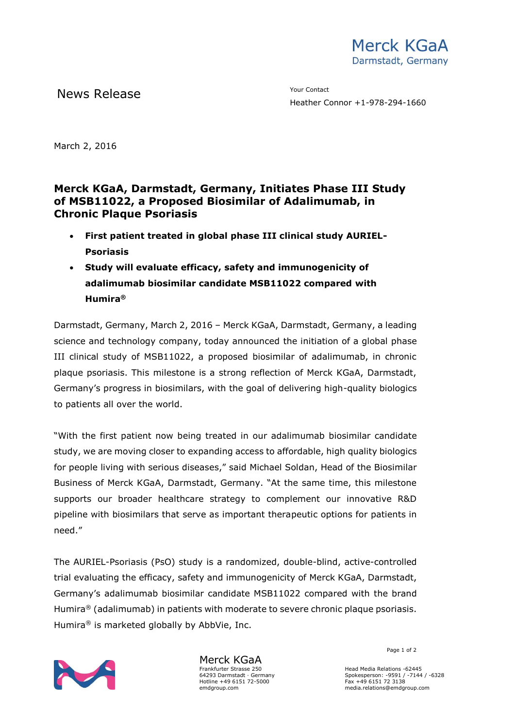

News Release The Contact Terms of the Mean of the Mean of the Vour Contact

Heather Connor +1-978-294-1660

March 2, 2016

## **Merck KGaA, Darmstadt, Germany, Initiates Phase III Study of MSB11022, a Proposed Biosimilar of Adalimumab, in Chronic Plaque Psoriasis**

- **First patient treated in global phase III clinical study AURIEL-Psoriasis**
- **Study will evaluate efficacy, safety and immunogenicity of adalimumab biosimilar candidate MSB11022 compared with Humira®**

Darmstadt, Germany, March 2, 2016 – Merck KGaA, Darmstadt, Germany, a leading science and technology company, today announced the initiation of a global phase III clinical study of MSB11022, a proposed biosimilar of adalimumab, in chronic plaque psoriasis. This milestone is a strong reflection of Merck KGaA, Darmstadt, Germany's progress in biosimilars, with the goal of delivering high-quality biologics to patients all over the world.

"With the first patient now being treated in our adalimumab biosimilar candidate study, we are moving closer to expanding access to affordable, high quality biologics for people living with serious diseases," said Michael Soldan, Head of the Biosimilar Business of Merck KGaA, Darmstadt, Germany. "At the same time, this milestone supports our broader healthcare strategy to complement our innovative R&D pipeline with biosimilars that serve as important therapeutic options for patients in need."

The AURIEL-Psoriasis (PsO) study is a randomized, double-blind, active-controlled trial evaluating the efficacy, safety and immunogenicity of Merck KGaA, Darmstadt, Germany's adalimumab biosimilar candidate MSB11022 compared with the brand Humira<sup>®</sup> (adalimumab) in patients with moderate to severe chronic plaque psoriasis. Humira® is marketed globally by AbbVie, Inc.



Merck KGaA Frankfurter Strasse 250 64293 Darmstadt · Germany Hotline +49 6151 72-5000 emdgroup.com

Page 1 of 2

Head Media Relations -62445 Spokesperson: -9591 / -7144 / -6328 Fax +49 6151 72 3138 media.relations@emdgroup.com